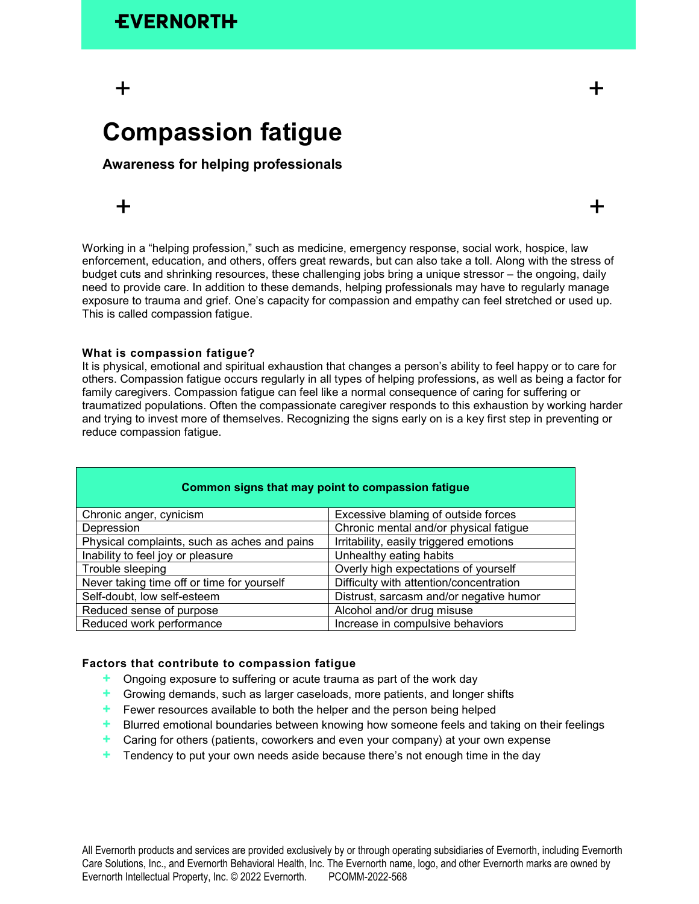# $+$   $+$

### **Compassion fatigue**

### **Awareness for helping professionals**

# $+$  +  $+$

Working in a "helping profession," such as medicine, emergency response, social work, hospice, law enforcement, education, and others, offers great rewards, but can also take a toll. Along with the stress of budget cuts and shrinking resources, these challenging jobs bring a unique stressor – the ongoing, daily need to provide care. In addition to these demands, helping professionals may have to regularly manage exposure to trauma and grief. One's capacity for compassion and empathy can feel stretched or used up. This is called compassion fatigue.

#### **What is compassion fatigue?**

It is physical, emotional and spiritual exhaustion that changes a person's ability to feel happy or to care for others. Compassion fatigue occurs regularly in all types of helping professions, as well as being a factor for family caregivers. Compassion fatigue can feel like a normal consequence of caring for suffering or traumatized populations. Often the compassionate caregiver responds to this exhaustion by working harder and trying to invest more of themselves. Recognizing the signs early on is a key first step in preventing or reduce compassion fatigue.

| Common signs that may point to compassion fatigue |                                         |
|---------------------------------------------------|-----------------------------------------|
| Chronic anger, cynicism                           | Excessive blaming of outside forces     |
| Depression                                        | Chronic mental and/or physical fatigue  |
| Physical complaints, such as aches and pains      | Irritability, easily triggered emotions |
| Inability to feel joy or pleasure                 | Unhealthy eating habits                 |
| Trouble sleeping                                  | Overly high expectations of yourself    |
| Never taking time off or time for yourself        | Difficulty with attention/concentration |
| Self-doubt, low self-esteem                       | Distrust, sarcasm and/or negative humor |
| Reduced sense of purpose                          | Alcohol and/or drug misuse              |
| Reduced work performance                          | Increase in compulsive behaviors        |

#### **Factors that contribute to compassion fatigue**

- **+** Ongoing exposure to suffering or acute trauma as part of the work day
- **+** Growing demands, such as larger caseloads, more patients, and longer shifts
- **+** Fewer resources available to both the helper and the person being helped
- **+** Blurred emotional boundaries between knowing how someone feels and taking on their feelings
- **+** Caring for others (patients, coworkers and even your company) at your own expense
- **+** Tendency to put your own needs aside because there's not enough time in the day

All Evernorth products and services are provided exclusively by or through operating subsidiaries of Evernorth, including Evernorth Care Solutions, Inc., and Evernorth Behavioral Health, Inc. The Evernorth name, logo, and other Evernorth marks are owned by Evernorth Intellectual Property, Inc. © 2022 Evernorth. PCOMM-2022-568